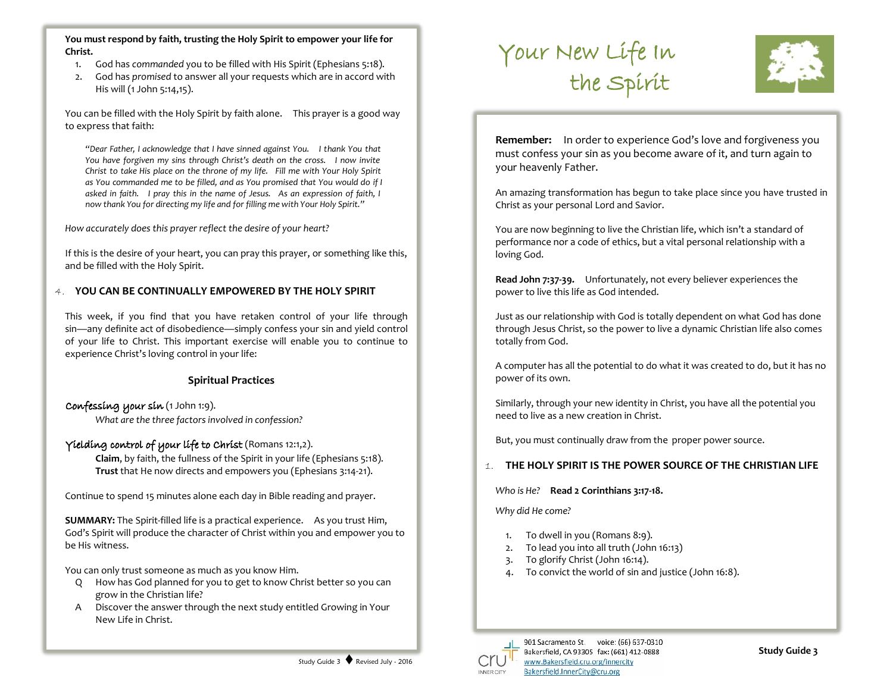**You must respond by faith, trusting the Holy Spirit to empower your life for Christ.**

- 1. God has *commanded* you to be filled with His Spirit (Ephesians 5:18).
- 2. God has *promised* to answer all your requests which are in accord with His will (1 John 5:14,15).

You can be filled with the Holy Spirit by faith alone. This prayer is a good way to express that faith:

*"Dear Father, I acknowledge that I have sinned against You. I thank You that You have forgiven my sins through Christ's death on the cross. I now invite Christ to take His place on the throne of my life. Fill me with Your Holy Spirit as You commanded me to be filled, and as You promised that You would do if I asked in faith. I pray this in the name of Jesus. As an expression of faith, I now thank You for directing my life and for filling me with Your Holy Spirit."*

*How accurately does this prayer reflect the desire of your heart?*

If this is the desire of your heart, you can pray this prayer, or something like this, and be filled with the Holy Spirit.

### 4. **YOU CAN BE CONTINUALLY EMPOWERED BY THE HOLY SPIRIT**

This week, if you find that you have retaken control of your life through sin—any definite act of disobedience—simply confess your sin and yield control of your life to Christ. This important exercise will enable you to continue to experience Christ's loving control in your life:

## **Spiritual Practices**

## Confessing your sin (1 John 1:9).

*What are the three factors involved in confession?*

## Yielding control of your life to Christ (Romans 12:1,2).

**Claim**, by faith, the fullness of the Spirit in your life (Ephesians 5:18). **Trust** that He now directs and empowers you (Ephesians 3:14-21).

Continue to spend 15 minutes alone each day in Bible reading and prayer.

**SUMMARY:** The Spirit-filled life is a practical experience. As you trust Him, God's Spirit will produce the character of Christ within you and empower you to be His witness.

You can only trust someone as much as you know Him.

- Q How has God planned for you to get to know Christ better so you can grow in the Christian life?
- A Discover the answer through the next study entitled Growing in Your New Life in Christ.





**Remember:** In order to experience God's love and forgiveness you must confess your sin as you become aware of it, and turn again to your heavenly Father.

An amazing transformation has begun to take place since you have trusted in Christ as your personal Lord and Savior.

You are now beginning to live the Christian life, which isn't a standard of performance nor a code of ethics, but a vital personal relationship with a loving God.

**Read John 7:37-39.** Unfortunately, not every believer experiences the power to live this life as God intended.

Just as our relationship with God is totally dependent on what God has done through Jesus Christ, so the power to live a dynamic Christian life also comes totally from God.

A computer has all the potential to do what it was created to do, but it has no power of its own.

Similarly, through your new identity in Christ, you have all the potential you need to live as a new creation in Christ.

But, you must continually draw from the proper power source.

# 1. **THE HOLY SPIRIT IS THE POWER SOURCE OF THE CHRISTIAN LIFE**

*Who is He?* **Read 2 Corinthians 3:17-18.**

*Why did He come?*

- 1. To dwell in you (Romans 8:9).
- 2. To lead you into all truth (John 16:13)
- 3. To glorify Christ (John 16:14).
- 4. To convict the world of sin and justice (John 16:8).